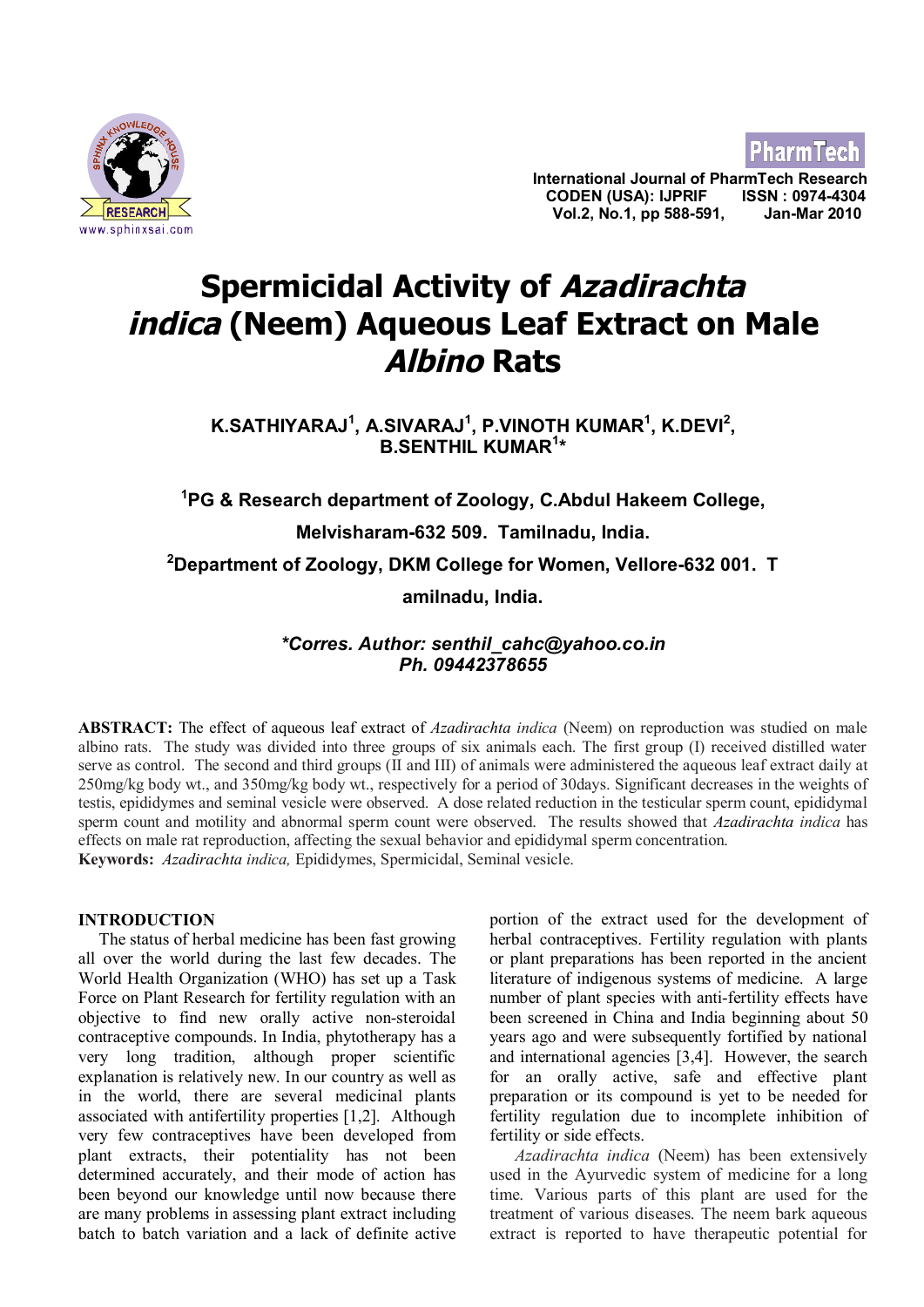

**PharmTecl** 

**International Journal of PharmTech Research CODEN (USA): IJPRIF ISSN : 0974-4304** <u>∠ RESEARCHLA</u><br>www.sphinxsai.com

# **Spermicidal Activity of Azadirachta indica (Neem) Aqueous Leaf Extract on Male Albino Rats**

**K.SATHIYARAJ<sup>1</sup> , A.SIVARAJ<sup>1</sup> , P.VINOTH KUMAR<sup>1</sup> , K.DEVI<sup>2</sup> , B.SENTHIL KUMAR<sup>1</sup> \***

**<sup>1</sup>PG & Research department of Zoology, C.Abdul Hakeem College, Melvisharam-632 509. Tamilnadu, India. <sup>2</sup>Department of Zoology, DKM College for Women, Vellore-632 001. T amilnadu, India.**

# *\*Corres. Author: senthil\_cahc@yahoo.co.in Ph. 09442378655*

**ABSTRACT:** The effect of aqueous leaf extract of *Azadirachta indica* (Neem) on reproduction was studied on male albino rats. The study was divided into three groups of six animals each. The first group (I) received distilled water serve as control. The second and third groups (II and III) of animals were administered the aqueous leaf extract daily at 250mg/kg body wt., and 350mg/kg body wt., respectively for a period of 30days. Significant decreases in the weights of testis, epididymes and seminal vesicle were observed. A dose related reduction in the testicular sperm count, epididymal sperm count and motility and abnormal sperm count were observed. The results showed that *Azadirachta indica* has effects on male rat reproduction, affecting the sexual behavior and epididymal sperm concentration. **Keywords:** *Azadirachta indica,* Epididymes, Spermicidal, Seminal vesicle.

#### **INTRODUCTION**

 The status of herbal medicine has been fast growing all over the world during the last few decades. The World Health Organization (WHO) has set up a Task Force on Plant Research for fertility regulation with an objective to find new orally active non-steroidal contraceptive compounds. In India, phytotherapy has a very long tradition, although proper scientific explanation is relatively new. In our country as well as in the world, there are several medicinal plants associated with antifertility properties [1,2]. Although very few contraceptives have been developed from plant extracts, their potentiality has not been determined accurately, and their mode of action has been beyond our knowledge until now because there are many problems in assessing plant extract including batch to batch variation and a lack of definite active portion of the extract used for the development of herbal contraceptives. Fertility regulation with plants or plant preparations has been reported in the ancient literature of indigenous systems of medicine. A large number of plant species with anti-fertility effects have been screened in China and India beginning about 50 years ago and were subsequently fortified by national and international agencies [3,4]. However, the search for an orally active, safe and effective plant preparation or its compound is yet to be needed for fertility regulation due to incomplete inhibition of fertility or side effects.

*Azadirachta indica* (Neem) has been extensively used in the Ayurvedic system of medicine for a long time. Various parts of this plant are used for the treatment of various diseases. The neem bark aqueous extract is reported to have therapeutic potential for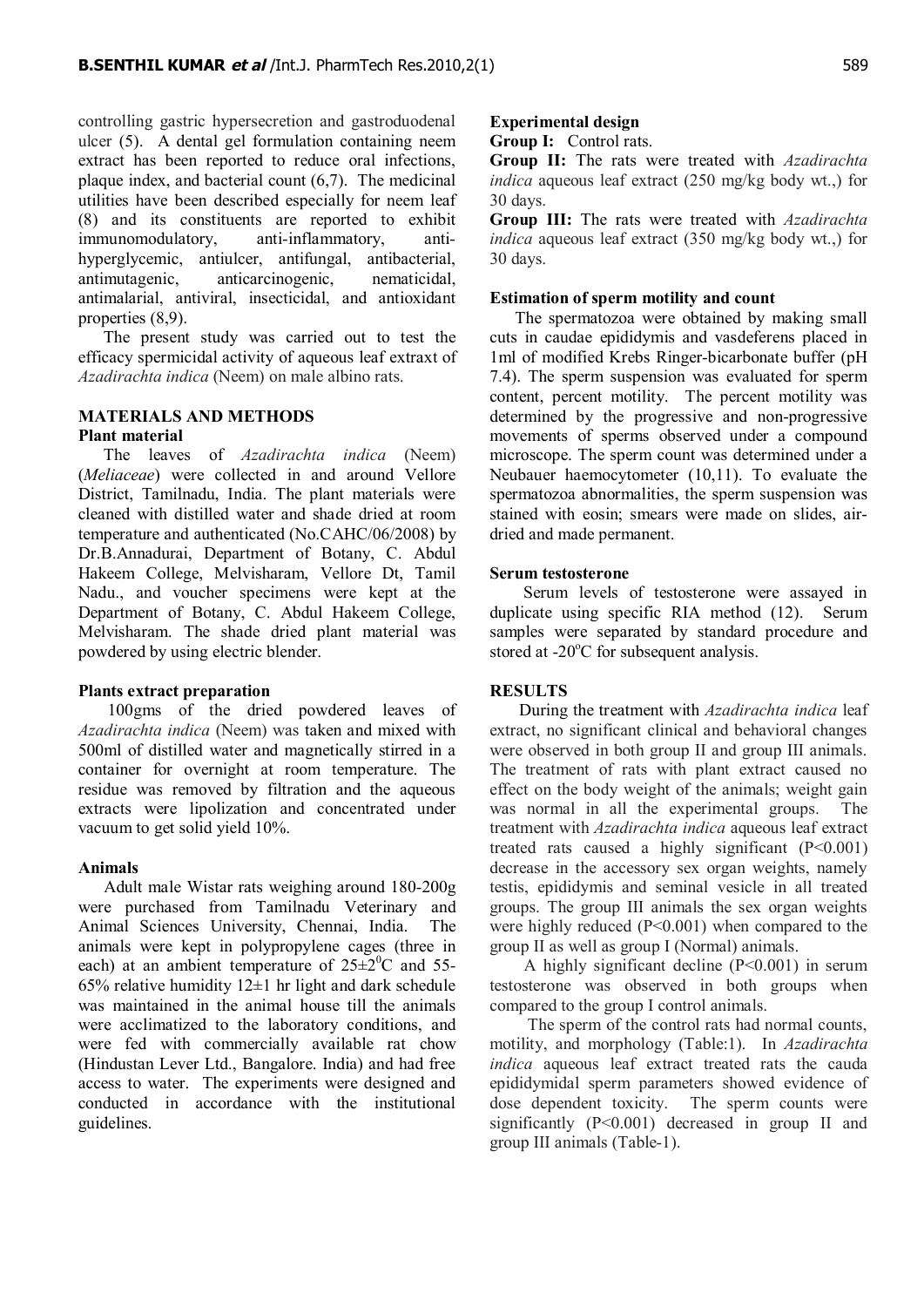controlling gastric hypersecretion and gastroduodenal ulcer (5). A dental gel formulation containing neem extract has been reported to reduce oral infections, plaque index, and bacterial count (6,7). The medicinal utilities have been described especially for neem leaf (8) and its constituents are reported to exhibit immunomodulatory, anti-inflammatory, antihyperglycemic, antiulcer, antifungal, antibacterial, antimutagenic, anticarcinogenic, nematicidal, antimalarial, antiviral, insecticidal, and antioxidant properties (8,9).

 The present study was carried out to test the efficacy spermicidal activity of aqueous leaf extraxt of *Azadirachta indica* (Neem) on male albino rats.

#### **MATERIALS AND METHODS Plant material**

 The leaves of *Azadirachta indica* (Neem) (*Meliaceae*) were collected in and around Vellore District, Tamilnadu, India. The plant materials were cleaned with distilled water and shade dried at room temperature and authenticated (No.CAHC/06/2008) by Dr.B.Annadurai, Department of Botany, C. Abdul Hakeem College, Melvisharam, Vellore Dt, Tamil Nadu., and voucher specimens were kept at the Department of Botany, C. Abdul Hakeem College, Melvisharam. The shade dried plant material was powdered by using electric blender.

#### **Plants extract preparation**

 100gms of the dried powdered leaves of *Azadirachta indica* (Neem) was taken and mixed with 500ml of distilled water and magnetically stirred in a container for overnight at room temperature. The residue was removed by filtration and the aqueous extracts were lipolization and concentrated under vacuum to get solid yield 10%.

#### **Animals**

 Adult male Wistar rats weighing around 180-200g were purchased from Tamilnadu Veterinary and Animal Sciences University, Chennai, India. The animals were kept in polypropylene cages (three in each) at an ambient temperature of  $25\pm2\degree$ C and 55-65% relative humidity  $12\pm1$  hr light and dark schedule was maintained in the animal house till the animals were acclimatized to the laboratory conditions, and were fed with commercially available rat chow (Hindustan Lever Ltd., Bangalore. India) and had free access to water. The experiments were designed and conducted in accordance with the institutional guidelines.

# **Experimental design**

**Group I:** Control rats.

**Group II:** The rats were treated with *Azadirachta indica* aqueous leaf extract (250 mg/kg body wt.,) for 30 days.

**Group III:** The rats were treated with *Azadirachta indica* aqueous leaf extract (350 mg/kg body wt.,) for 30 days.

## **Estimation of sperm motility and count**

The spermatozoa were obtained by making small cuts in caudae epididymis and vasdeferens placed in 1ml of modified Krebs Ringer-bicarbonate buffer (pH 7.4). The sperm suspension was evaluated for sperm content, percent motility. The percent motility was determined by the progressive and non-progressive movements of sperms observed under a compound microscope. The sperm count was determined under a Neubauer haemocytometer (10,11). To evaluate the spermatozoa abnormalities, the sperm suspension was stained with eosin; smears were made on slides, airdried and made permanent.

#### **Serum testosterone**

 Serum levels of testosterone were assayed in duplicate using specific RIA method (12). Serum samples were separated by standard procedure and stored at  $-20^{\circ}$ C for subsequent analysis.

## **RESULTS**

 During the treatment with *Azadirachta indica* leaf extract, no significant clinical and behavioral changes were observed in both group II and group III animals. The treatment of rats with plant extract caused no effect on the body weight of the animals; weight gain was normal in all the experimental groups. The treatment with *Azadirachta indica* aqueous leaf extract treated rats caused a highly significant  $(P<0.001)$ decrease in the accessory sex organ weights, namely testis, epididymis and seminal vesicle in all treated groups. The group III animals the sex organ weights were highly reduced (P<0.001) when compared to the group II as well as group I (Normal) animals.

 A highly significant decline (P<0.001) in serum testosterone was observed in both groups when compared to the group I control animals.

 The sperm of the control rats had normal counts, motility, and morphology (Table:1). In *Azadirachta indica* aqueous leaf extract treated rats the cauda epididymidal sperm parameters showed evidence of dose dependent toxicity. The sperm counts were significantly (P<0.001) decreased in group II and group III animals (Table-1).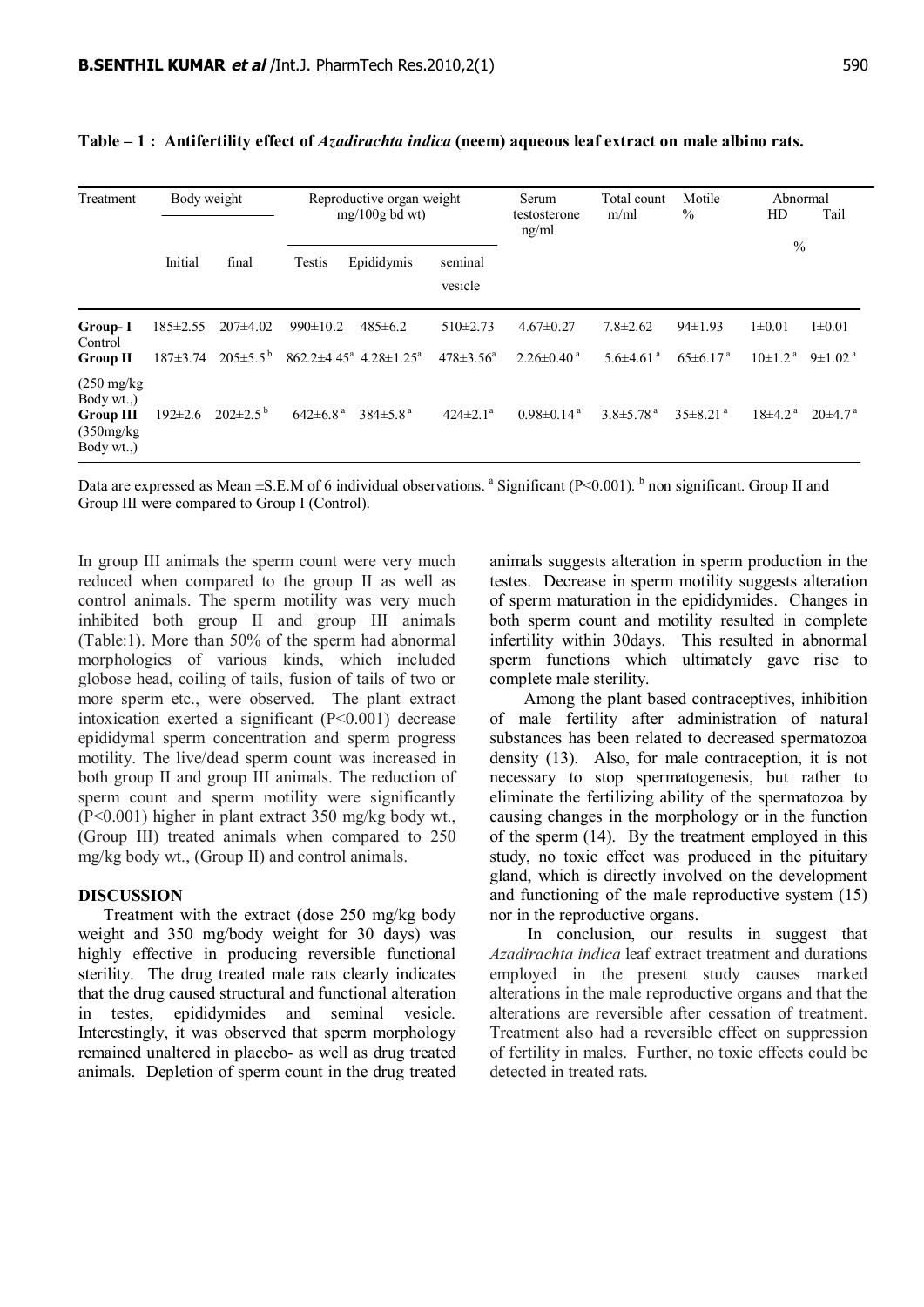| Treatment                                                                       | Body weight                    |                                       | Reproductive organ weight<br>$mg/100g$ bd wt) |                                                                   |                                  | Serum<br>testosterone<br>ng/ml             | Total count<br>m/ml                           | Motile<br>$\%$                            | Abnormal<br>Tail<br>HD                  |                                           |
|---------------------------------------------------------------------------------|--------------------------------|---------------------------------------|-----------------------------------------------|-------------------------------------------------------------------|----------------------------------|--------------------------------------------|-----------------------------------------------|-------------------------------------------|-----------------------------------------|-------------------------------------------|
|                                                                                 | Initial                        | final                                 | Testis                                        | Epididymis                                                        | seminal<br>vesicle               |                                            |                                               |                                           | $\frac{0}{0}$                           |                                           |
| Group-I<br>Control<br><b>Group II</b>                                           | $185 \pm 2.55$<br>$187 + 3.74$ | $207\pm4.02$<br>$205 \pm 5.5^{\circ}$ | $990 \pm 10.2$                                | $485 \pm 6.2$<br>$862.2 \pm 4.45^{\circ}$ 4.28 $\pm 1.25^{\circ}$ | $510\pm2.73$<br>$478 \pm 3.56^a$ | $4.67\pm0.27$<br>$2.26\pm0.40^{\text{ a}}$ | $7.8 \pm 2.62$<br>$5.6 \pm 4.61$ <sup>a</sup> | $94\pm1.93$<br>$65 \pm 6.17$ <sup>a</sup> | $1 \pm 0.01$<br>$10\pm1.2$ <sup>a</sup> | $1 \pm 0.01$<br>$9 \pm 1.02$ <sup>a</sup> |
| $(250 \text{ mg/kg})$<br>Body wt)<br><b>Group III</b><br>(350mg/kg)<br>Body wt) | $192 \pm 2.6$                  | $202 \pm 2.5^{\mathrm{b}}$            | $642 \pm 6.8$ <sup>a</sup>                    | $384\pm5.8^{\text{a}}$                                            | $424 \pm 2.1^a$                  | $0.98\pm0.14^{\text{a}}$                   | $3.8 \pm 5.78$ <sup>a</sup>                   | $35\pm8.21$ <sup>a</sup>                  | $18\pm4.2^{\text{a}}$                   | $20\pm 4.7^{\text{a}}$                    |

#### **Table – 1 : Antifertility effect of** *Azadirachta indica* **(neem) aqueous leaf extract on male albino rats.**

Data are expressed as Mean ±S.E.M of 6 individual observations. <sup>a</sup> Significant (P<0.001). <sup>b</sup> non significant. Group II and Group III were compared to Group I (Control).

In group III animals the sperm count were very much reduced when compared to the group II as well as control animals. The sperm motility was very much inhibited both group II and group III animals (Table:1). More than 50% of the sperm had abnormal morphologies of various kinds, which included globose head, coiling of tails, fusion of tails of two or more sperm etc., were observed. The plant extract intoxication exerted a significant (P<0.001) decrease epididymal sperm concentration and sperm progress motility. The live/dead sperm count was increased in both group II and group III animals. The reduction of sperm count and sperm motility were significantly (P<0.001) higher in plant extract 350 mg/kg body wt., (Group III) treated animals when compared to 250 mg/kg body wt., (Group II) and control animals.

#### **DISCUSSION**

 Treatment with the extract (dose 250 mg/kg body weight and 350 mg/body weight for 30 days) was highly effective in producing reversible functional sterility. The drug treated male rats clearly indicates that the drug caused structural and functional alteration in testes, epididymides and seminal vesicle. Interestingly, it was observed that sperm morphology remained unaltered in placebo- as well as drug treated animals. Depletion of sperm count in the drug treated animals suggests alteration in sperm production in the testes. Decrease in sperm motility suggests alteration of sperm maturation in the epididymides. Changes in both sperm count and motility resulted in complete infertility within 30days. This resulted in abnormal sperm functions which ultimately gave rise to complete male sterility.

 Among the plant based contraceptives, inhibition of male fertility after administration of natural substances has been related to decreased spermatozoa density (13). Also, for male contraception, it is not necessary to stop spermatogenesis, but rather to eliminate the fertilizing ability of the spermatozoa by causing changes in the morphology or in the function of the sperm (14). By the treatment employed in this study, no toxic effect was produced in the pituitary gland, which is directly involved on the development and functioning of the male reproductive system (15) nor in the reproductive organs.

 In conclusion, our results in suggest that *Azadirachta indica* leaf extract treatment and durations employed in the present study causes marked alterations in the male reproductive organs and that the alterations are reversible after cessation of treatment. Treatment also had a reversible effect on suppression of fertility in males. Further, no toxic effects could be detected in treated rats.